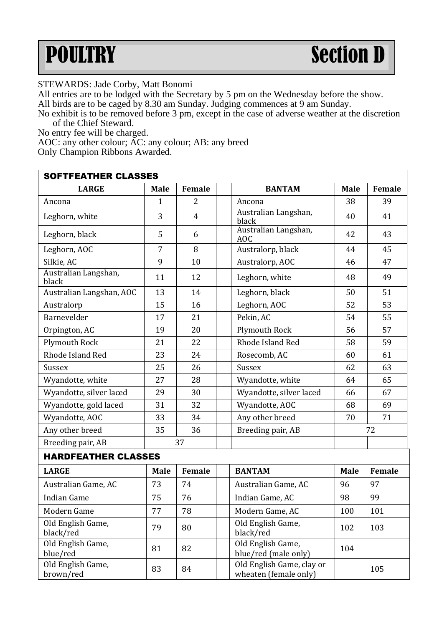## POULTRY Section D

STEWARDS: Jade Corby, Matt Bonomi

All entries are to be lodged with the Secretary by 5 pm on the Wednesday before the show.

All birds are to be caged by 8.30 am Sunday. Judging commences at 9 am Sunday.

No exhibit is to be removed before 3 pm, except in the case of adverse weather at the discretion of the Chief Steward.

No entry fee will be charged.

AOC: any other colour; AC: any colour; AB: any breed

Only Champion Ribbons Awarded.

| <b>SOFTFEATHER CLASSES</b>     |      |                |                                                    |      |        |  |  |  |  |
|--------------------------------|------|----------------|----------------------------------------------------|------|--------|--|--|--|--|
| <b>LARGE</b>                   | Male | Female         | <b>BANTAM</b>                                      |      | Female |  |  |  |  |
| Ancona                         | 1    | 2              | Ancona                                             | 38   | 39     |  |  |  |  |
| Leghorn, white                 | 3    | $\overline{4}$ | Australian Langshan,<br>black                      | 40   | 41     |  |  |  |  |
| Leghorn, black                 | 5    | 6              | Australian Langshan,<br>AOC                        | 42   | 43     |  |  |  |  |
| Leghorn, AOC                   | 7    | 8              | Australorp, black                                  | 44   | 45     |  |  |  |  |
| Silkie. AC                     | 9    | 10             | Australorp, AOC                                    | 46   | 47     |  |  |  |  |
| Australian Langshan,<br>black  | 11   | 12             | Leghorn, white                                     | 48   | 49     |  |  |  |  |
| Australian Langshan, AOC       | 13   | 14             | Leghorn, black                                     | 50   | 51     |  |  |  |  |
| Australorp                     | 15   | 16             | Leghorn, AOC                                       | 52   | 53     |  |  |  |  |
| Barnevelder                    | 17   | 21             | Pekin. AC                                          | 54   | 55     |  |  |  |  |
| Orpington, AC                  | 19   | 20             | Plymouth Rock                                      | 56   | 57     |  |  |  |  |
| Plymouth Rock                  | 21   | 22             | Rhode Island Red                                   | 58   | 59     |  |  |  |  |
| Rhode Island Red               | 23   | 24             | Rosecomb, AC                                       | 60   | 61     |  |  |  |  |
| Sussex                         | 25   | 26             | Sussex                                             | 62   | 63     |  |  |  |  |
| Wyandotte, white               | 27   | 28             | Wyandotte, white                                   | 64   | 65     |  |  |  |  |
| Wyandotte, silver laced        | 29   | 30             | Wyandotte, silver laced                            | 66   | 67     |  |  |  |  |
| Wyandotte, gold laced          | 31   | 32             | Wyandotte, AOC                                     | 68   | 69     |  |  |  |  |
| Wyandotte, AOC                 | 33   | 34             | Any other breed                                    | 70   | 71     |  |  |  |  |
| Any other breed                | 35   | 36             | Breeding pair, AB                                  | 72   |        |  |  |  |  |
| Breeding pair, AB              | 37   |                |                                                    |      |        |  |  |  |  |
| <b>HARDFEATHER CLASSES</b>     |      |                |                                                    |      |        |  |  |  |  |
| <b>LARGE</b>                   | Male | Female         | <b>BANTAM</b>                                      | Male | Female |  |  |  |  |
| Australian Game, AC            | 73   | 74             | Australian Game, AC                                | 96   | 97     |  |  |  |  |
| <b>Indian Game</b>             | 75   | 76             | 98<br>Indian Game, AC                              |      | 99     |  |  |  |  |
| Modern Game                    | 77   | 78             | Modern Game, AC                                    | 100  | 101    |  |  |  |  |
| Old English Game,<br>black/red | 79   | 80             | Old English Game,<br>102<br>black/red              |      | 103    |  |  |  |  |
| Old English Game,<br>blue/red  | 81   | 82             | Old English Game,<br>blue/red (male only)          | 104  |        |  |  |  |  |
| Old English Game,<br>brown/red | 83   | 84             | Old English Game, clay or<br>wheaten (female only) | 105  |        |  |  |  |  |